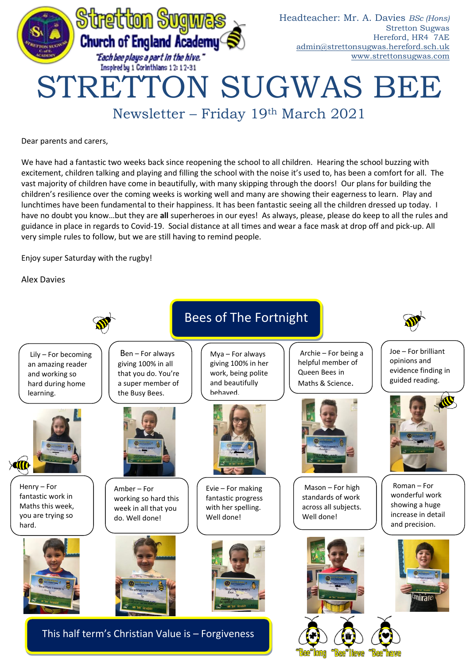

Newsletter – Friday 19th March 2021

Dear parents and carers,

We have had a fantastic two weeks back since reopening the school to all children. Hearing the school buzzing with excitement, children talking and playing and filling the school with the noise it's used to, has been a comfort for all. The vast majority of children have come in beautifully, with many skipping through the doors! Our plans for building the children's resilience over the coming weeks is working well and many are showing their eagerness to learn. Play and lunchtimes have been fundamental to their happiness. It has been fantastic seeing all the children dressed up today. I have no doubt you know…but they are **all** superheroes in our eyes! As always, please, please do keep to all the rules and guidance in place in regards to Covid-19. Social distance at all times and wear a face mask at drop off and pick-up. All very simple rules to follow, but we are still having to remind people.

Enjoy super Saturday with the rugby!

Alex Davies